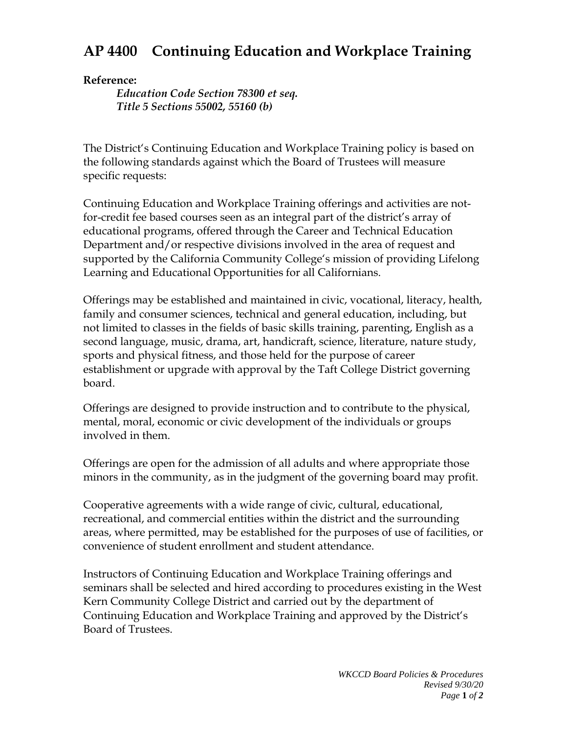## **AP 4400 Continuing Education and Workplace Training**

## **Reference:**

*Education Code Section 78300 et seq. Title 5 Sections 55002, 55160 (b)*

The District's Continuing Education and Workplace Training policy is based on the following standards against which the Board of Trustees will measure specific requests:

Continuing Education and Workplace Training offerings and activities are notfor-credit fee based courses seen as an integral part of the district's array of educational programs, offered through the Career and Technical Education Department and/or respective divisions involved in the area of request and supported by the California Community College's mission of providing Lifelong Learning and Educational Opportunities for all Californians.

Offerings may be established and maintained in civic, vocational, literacy, health, family and consumer sciences, technical and general education, including, but not limited to classes in the fields of basic skills training, parenting, English as a second language, music, drama, art, handicraft, science, literature, nature study, sports and physical fitness, and those held for the purpose of career establishment or upgrade with approval by the Taft College District governing board.

Offerings are designed to provide instruction and to contribute to the physical, mental, moral, economic or civic development of the individuals or groups involved in them.

Offerings are open for the admission of all adults and where appropriate those minors in the community, as in the judgment of the governing board may profit.

Cooperative agreements with a wide range of civic, cultural, educational, recreational, and commercial entities within the district and the surrounding areas, where permitted, may be established for the purposes of use of facilities, or convenience of student enrollment and student attendance.

Instructors of Continuing Education and Workplace Training offerings and seminars shall be selected and hired according to procedures existing in the West Kern Community College District and carried out by the department of Continuing Education and Workplace Training and approved by the District's Board of Trustees.